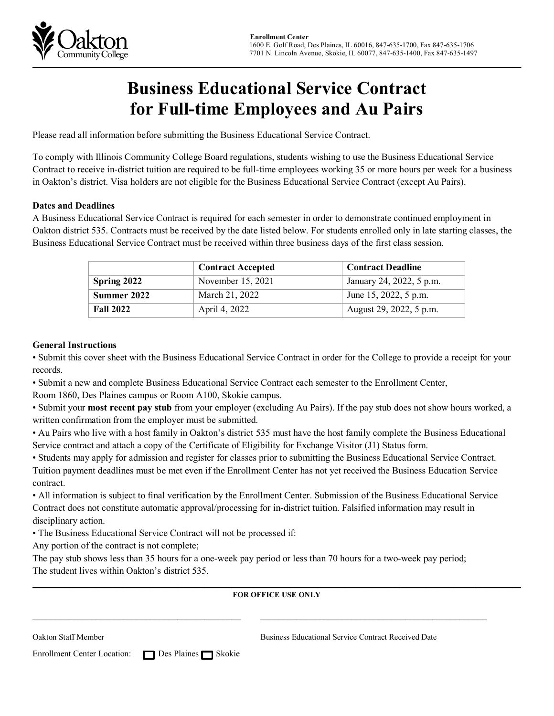

# **Business Educational Service Contract for Full-time Employees and Au Pairs**

Please read all information before submitting the Business Educational Service Contract.

To comply with Illinois Community College Board regulations, students wishing to use the Business Educational Service Contract to receive in-district tuition are required to be full-time employees working 35 or more hours per week for a business in Oakton's district. Visa holders are not eligible for the Business Educational Service Contract (except Au Pairs).

### **Dates and Deadlines**

A Business Educational Service Contract is required for each semester in order to demonstrate continued employment in Oakton district 535. Contracts must be received by the date listed below. For students enrolled only in late starting classes, the Business Educational Service Contract must be received within three business days of the first class session.

|                               | <b>Contract Accepted</b> | <b>Contract Deadline</b> |  |
|-------------------------------|--------------------------|--------------------------|--|
| Spring 2022                   | November 15, 2021        | January 24, 2022, 5 p.m. |  |
| March 21, 2022<br>Summer 2022 |                          | June 15, 2022, 5 p.m.    |  |
| <b>Fall 2022</b>              | April 4, 2022            | August 29, 2022, 5 p.m.  |  |

### **General Instructions**

• Submit this cover sheet with the Business Educational Service Contract in order for the College to provide a receipt for your records.

• Submit a new and complete Business Educational Service Contract each semester to the Enrollment Center,

Room 1860, Des Plaines campus or Room A100, Skokie campus.

• Submit your **most recent pay stub** from your employer (excluding Au Pairs). If the pay stub does not show hours worked, a written confirmation from the employer must be submitted.

• Au Pairs who live with a host family in Oakton's district 535 must have the host family complete the Business Educational Service contract and attach a copy of the Certificate of Eligibility for Exchange Visitor (J1) Status form.

• Students may apply for admission and register for classes prior to submitting the Business Educational Service Contract. Tuition payment deadlines must be met even if the Enrollment Center has not yet received the Business Education Service contract.

• All information is subject to final verification by the Enrollment Center. Submission of the Business Educational Service Contract does not constitute automatic approval/processing for in-district tuition. Falsified information may result in disciplinary action.

• The Business Educational Service Contract will not be processed if:

Any portion of the contract is not complete;

The pay stub shows less than 35 hours for a one-week pay period or less than 70 hours for a two-week pay period; The student lives within Oakton's district 535.

 $\mathcal{L}_\mathcal{L} = \mathcal{L}_\mathcal{L} = \mathcal{L}_\mathcal{L} = \mathcal{L}_\mathcal{L} = \mathcal{L}_\mathcal{L} = \mathcal{L}_\mathcal{L} = \mathcal{L}_\mathcal{L} = \mathcal{L}_\mathcal{L} = \mathcal{L}_\mathcal{L} = \mathcal{L}_\mathcal{L} = \mathcal{L}_\mathcal{L} = \mathcal{L}_\mathcal{L} = \mathcal{L}_\mathcal{L} = \mathcal{L}_\mathcal{L} = \mathcal{L}_\mathcal{L} = \mathcal{L}_\mathcal{L} = \mathcal{L}_\mathcal{L}$ 

### \_\_\_\_\_\_\_\_\_\_\_\_\_\_\_\_\_\_\_\_\_\_\_\_\_\_\_\_\_\_\_\_\_\_\_\_\_\_\_\_\_\_\_\_\_\_\_\_\_\_\_\_\_\_\_\_\_\_\_\_\_\_\_\_\_\_\_\_\_\_\_\_\_\_\_\_\_\_\_\_\_\_\_\_\_\_\_\_\_\_\_\_\_\_\_\_\_\_\_\_\_\_\_\_\_\_\_\_ **FOR OFFICE USE ONLY**

Oakton Staff Member Business Educational Service Contract Received Date

Enrollment Center Location: ■☒ Des Plaines ■ Skokie